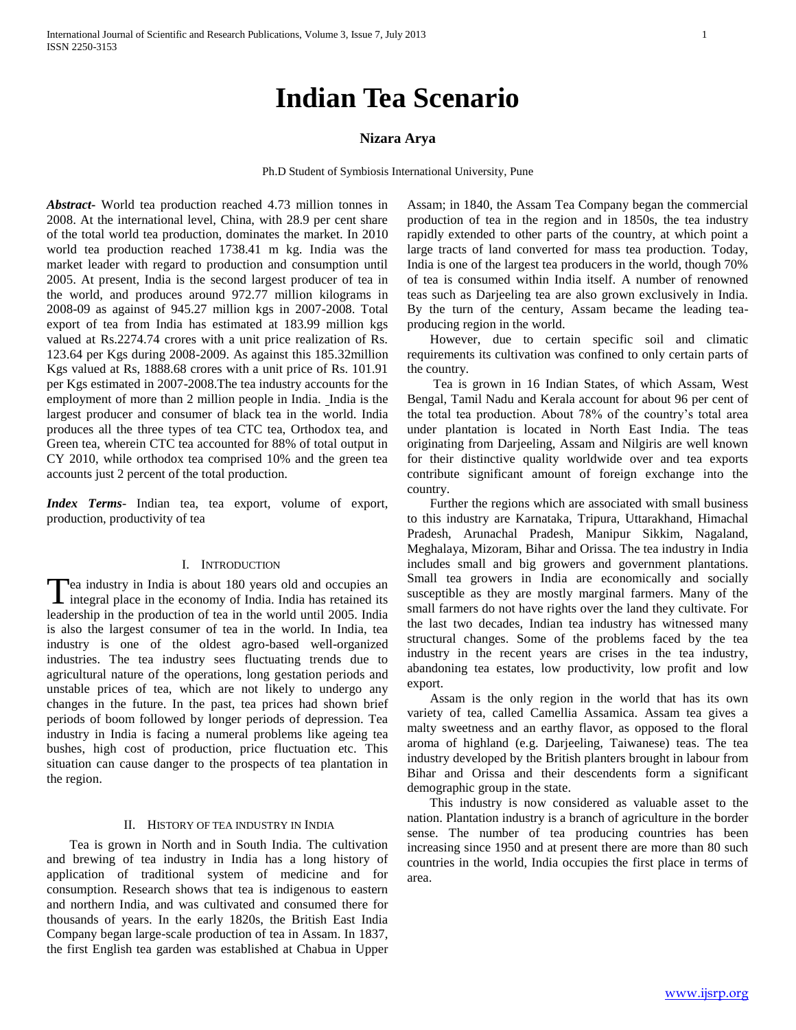# **Indian Tea Scenario**

## **Nizara Arya**

Ph.D Student of Symbiosis International University, Pune

*Abstract***-** World tea production reached 4.73 million tonnes in 2008. At the international level, China, with 28.9 per cent share of the total world tea production, dominates the market. In 2010 world tea production reached 1738.41 m kg. India was the market leader with regard to production and consumption until 2005. At present, India is the second largest producer of tea in the world, and produces around 972.77 million kilograms in 2008-09 as against of 945.27 million kgs in 2007-2008. Total export of tea from India has estimated at 183.99 million kgs valued at Rs.2274.74 crores with a unit price realization of Rs. 123.64 per Kgs during 2008-2009. As against this 185.32million Kgs valued at Rs, 1888.68 crores with a unit price of Rs. 101.91 per Kgs estimated in 2007-2008.The tea industry accounts for the employment of more than 2 million people in India. India is the largest producer and consumer of black tea in the world. India produces all the three types of tea CTC tea, Orthodox tea, and Green tea, wherein CTC tea accounted for 88% of total output in CY 2010, while orthodox tea comprised 10% and the green tea accounts just 2 percent of the total production.

*Index Terms*- Indian tea, tea export, volume of export, production, productivity of tea

# I. INTRODUCTION

ea industry in India is about 180 years old and occupies an integral place in the economy of India. India has retained its Tea industry in India is about 180 years old and occupies an integral place in the economy of India. India has retained its leadership in the production of tea in the world until 2005. India is also the largest consumer of tea in the world. In India, tea industry is one of the oldest agro-based well-organized industries. The tea industry sees fluctuating trends due to agricultural nature of the operations, long gestation periods and unstable prices of tea, which are not likely to undergo any changes in the future. In the past, tea prices had shown brief periods of boom followed by longer periods of depression. Tea industry in India is facing a numeral problems like ageing tea bushes, high cost of production, price fluctuation etc. This situation can cause danger to the prospects of tea plantation in the region.

## II. HISTORY OF TEA INDUSTRY IN INDIA

 Tea is grown in North and in South India. The cultivation and brewing of tea industry in India has a long history of application of traditional system of medicine and for consumption. Research shows that tea is indigenous to eastern and northern India, and was cultivated and consumed there for thousands of years. In the early 1820s, the British East India Company began large-scale production of tea in Assam. In 1837, the first English tea garden was established at Chabua in Upper

Assam; in 1840, the Assam Tea Company began the commercial production of tea in the region and in 1850s, the tea industry rapidly extended to other parts of the country, at which point a large tracts of land converted for mass tea production. Today, India is one of the largest tea producers in the world, though 70% of tea is consumed within India itself. A number of renowned teas such as Darjeeling tea are also grown exclusively in India. By the turn of the century, Assam became the leading teaproducing region in the world.

 However, due to certain specific soil and climatic requirements its cultivation was confined to only certain parts of the country.

 Tea is grown in 16 Indian States, of which Assam, West Bengal, Tamil Nadu and Kerala account for about 96 per cent of the total tea production. About 78% of the country"s total area under plantation is located in North East India. The teas originating from Darjeeling, Assam and Nilgiris are well known for their distinctive quality worldwide over and tea exports contribute significant amount of foreign exchange into the country.

 Further the regions which are associated with small business to this industry are Karnataka, Tripura, Uttarakhand, Himachal Pradesh, Arunachal Pradesh, Manipur Sikkim, Nagaland, Meghalaya, Mizoram, Bihar and Orissa. The tea industry in India includes small and big growers and government plantations. Small tea growers in India are economically and socially susceptible as they are mostly marginal farmers. Many of the small farmers do not have rights over the land they cultivate. For the last two decades, Indian tea industry has witnessed many structural changes. Some of the problems faced by the tea industry in the recent years are crises in the tea industry, abandoning tea estates, low productivity, low profit and low export.

 Assam is the only region in the world that has its own variety of tea, called Camellia Assamica. Assam tea gives a malty sweetness and an earthy flavor, as opposed to the floral aroma of highland (e.g. Darjeeling, Taiwanese) teas. The tea industry developed by the British planters brought in labour from Bihar and Orissa and their descendents form a significant demographic group in the state.

 This industry is now considered as valuable asset to the nation. Plantation industry is a branch of agriculture in the border sense. The number of tea producing countries has been increasing since 1950 and at present there are more than 80 such countries in the world, India occupies the first place in terms of area.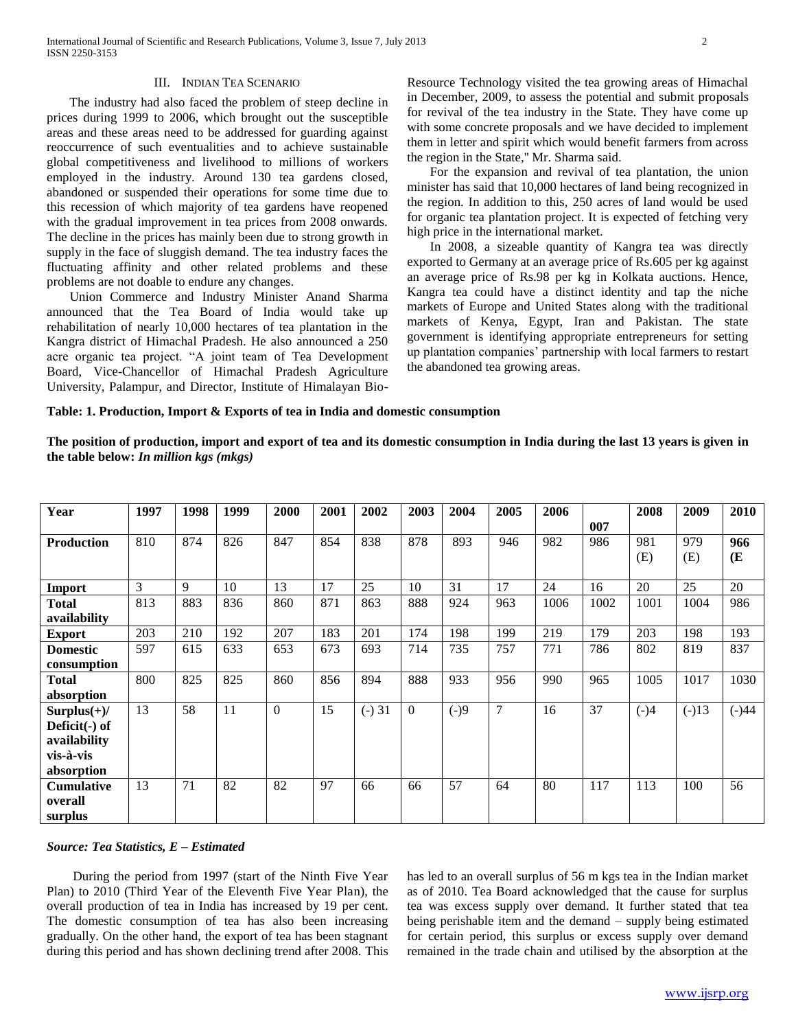## III. INDIAN TEA SCENARIO

 The industry had also faced the problem of steep decline in prices during 1999 to 2006, which brought out the susceptible areas and these areas need to be addressed for guarding against reoccurrence of such eventualities and to achieve sustainable global competitiveness and livelihood to millions of workers employed in the industry. Around 130 tea gardens closed, abandoned or suspended their operations for some time due to this recession of which majority of tea gardens have reopened with the gradual improvement in tea prices from 2008 onwards. The decline in the prices has mainly been due to strong growth in supply in the face of sluggish demand. The tea industry faces the fluctuating affinity and other related problems and these problems are not doable to endure any changes.

 Union Commerce and Industry Minister Anand Sharma announced that the Tea Board of India would take up rehabilitation of nearly 10,000 hectares of tea plantation in the Kangra district of Himachal Pradesh. He also announced a 250 acre organic tea project. "A joint team of Tea Development Board, Vice-Chancellor of Himachal Pradesh Agriculture University, Palampur, and Director, Institute of Himalayan BioResource Technology visited the tea growing areas of Himachal in December, 2009, to assess the potential and submit proposals for revival of the tea industry in the State. They have come up with some concrete proposals and we have decided to implement them in letter and spirit which would benefit farmers from across the region in the State,'' Mr. Sharma said.

 For the expansion and revival of tea plantation, the union minister has said that 10,000 hectares of land being recognized in the region. In addition to this, 250 acres of land would be used for organic tea plantation project. It is expected of fetching very high price in the international market.

 In 2008, a sizeable quantity of Kangra tea was directly exported to Germany at an average price of Rs.605 per kg against an average price of Rs.98 per kg in Kolkata auctions. Hence, Kangra tea could have a distinct identity and tap the niche markets of Europe and United States along with the traditional markets of Kenya, Egypt, Iran and Pakistan. The state government is identifying appropriate entrepreneurs for setting up plantation companies" partnership with local farmers to restart the abandoned tea growing areas.

#### **Table: 1. Production, Import & Exports of tea in India and domestic consumption**

**The position of production, import and export of tea and its domestic consumption in India during the last 13 years is given in the table below:** *In million kgs (mkgs)*

| Year              | 1997 | 1998 | 1999 | 2000     | 2001 | 2002    | 2003     | 2004   | 2005           | 2006 |      | 2008   | 2009    | 2010    |
|-------------------|------|------|------|----------|------|---------|----------|--------|----------------|------|------|--------|---------|---------|
|                   |      |      |      |          |      |         |          |        |                |      | 007  |        |         |         |
| <b>Production</b> | 810  | 874  | 826  | 847      | 854  | 838     | 878      | 893    | 946            | 982  | 986  | 981    | 979     | 966     |
|                   |      |      |      |          |      |         |          |        |                |      |      | (E)    | (E)     | (E      |
|                   |      |      |      |          |      |         |          |        |                |      |      |        |         |         |
| <b>Import</b>     | 3    | 9    | 10   | 13       | 17   | 25      | 10       | 31     | 17             | 24   | 16   | 20     | 25      | 20      |
| <b>Total</b>      | 813  | 883  | 836  | 860      | 871  | 863     | 888      | 924    | 963            | 1006 | 1002 | 1001   | 1004    | 986     |
| availability      |      |      |      |          |      |         |          |        |                |      |      |        |         |         |
| <b>Export</b>     | 203  | 210  | 192  | 207      | 183  | 201     | 174      | 198    | 199            | 219  | 179  | 203    | 198     | 193     |
| <b>Domestic</b>   | 597  | 615  | 633  | 653      | 673  | 693     | 714      | 735    | 757            | 771  | 786  | 802    | 819     | 837     |
| consumption       |      |      |      |          |      |         |          |        |                |      |      |        |         |         |
| <b>Total</b>      | 800  | 825  | 825  | 860      | 856  | 894     | 888      | 933    | 956            | 990  | 965  | 1005   | 1017    | 1030    |
| absorption        |      |      |      |          |      |         |          |        |                |      |      |        |         |         |
| $Surplus(+)/$     | 13   | 58   | 11   | $\Omega$ | 15   | $(-)31$ | $\Omega$ | $(-)9$ | $\overline{7}$ | 16   | 37   | $(-)4$ | $(-)13$ | $(-)44$ |
| Deficit(-) of     |      |      |      |          |      |         |          |        |                |      |      |        |         |         |
| availability      |      |      |      |          |      |         |          |        |                |      |      |        |         |         |
| vis-à-vis         |      |      |      |          |      |         |          |        |                |      |      |        |         |         |
| absorption        |      |      |      |          |      |         |          |        |                |      |      |        |         |         |
| <b>Cumulative</b> | 13   | 71   | 82   | 82       | 97   | 66      | 66       | 57     | 64             | 80   | 117  | 113    | 100     | 56      |
| overall           |      |      |      |          |      |         |          |        |                |      |      |        |         |         |
| surplus           |      |      |      |          |      |         |          |        |                |      |      |        |         |         |

#### *Source: Tea Statistics, E – Estimated*

 During the period from 1997 (start of the Ninth Five Year Plan) to 2010 (Third Year of the Eleventh Five Year Plan), the overall production of tea in India has increased by 19 per cent. The domestic consumption of tea has also been increasing gradually. On the other hand, the export of tea has been stagnant during this period and has shown declining trend after 2008. This

has led to an overall surplus of 56 m kgs tea in the Indian market as of 2010. Tea Board acknowledged that the cause for surplus tea was excess supply over demand. It further stated that tea being perishable item and the demand – supply being estimated for certain period, this surplus or excess supply over demand remained in the trade chain and utilised by the absorption at the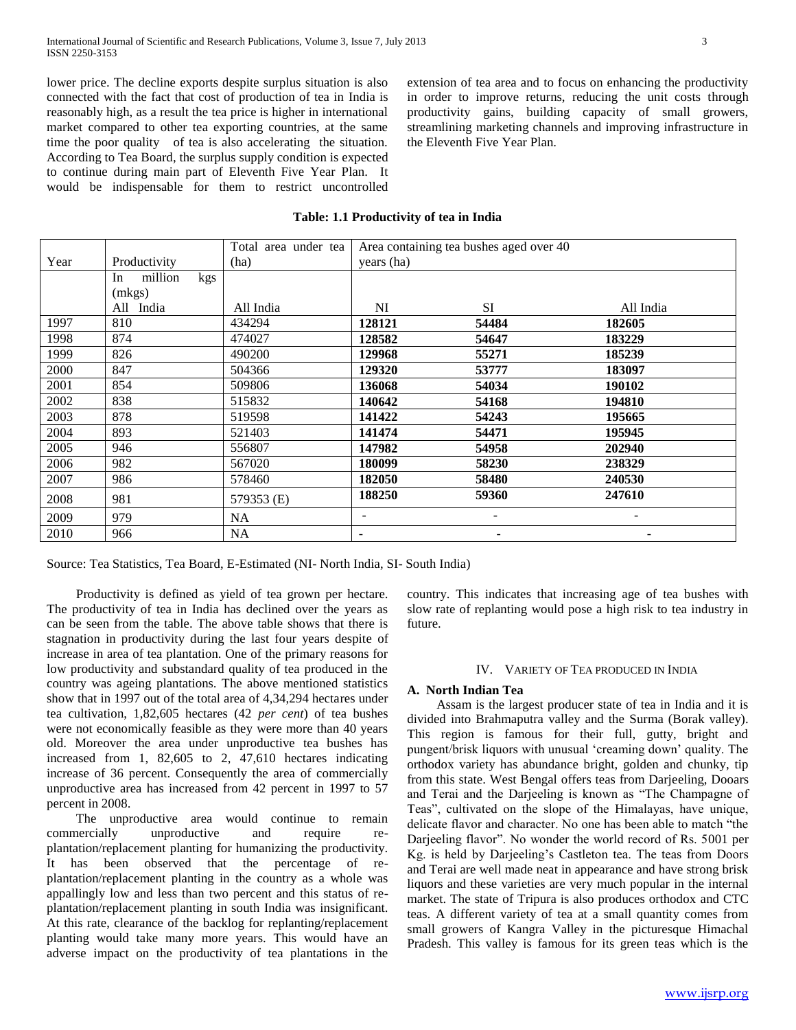lower price. The decline exports despite surplus situation is also connected with the fact that cost of production of tea in India is reasonably high, as a result the tea price is higher in international market compared to other tea exporting countries, at the same time the poor quality of tea is also accelerating the situation. According to Tea Board, the surplus supply condition is expected to continue during main part of Eleventh Five Year Plan. It would be indispensable for them to restrict uncontrolled extension of tea area and to focus on enhancing the productivity in order to improve returns, reducing the unit costs through productivity gains, building capacity of small growers, streamlining marketing channels and improving infrastructure in the Eleventh Five Year Plan.

# **Table: 1.1 Productivity of tea in India**

|      |                      | Total area under tea |            | Area containing tea bushes aged over 40 |                 |
|------|----------------------|----------------------|------------|-----------------------------------------|-----------------|
| Year | Productivity         | (ha)                 | years (ha) |                                         |                 |
|      | million<br>kgs<br>In |                      |            |                                         |                 |
|      | (mkgs)               |                      |            |                                         |                 |
|      | All India            | All India            | NI         | <b>SI</b>                               | All India       |
| 1997 | 810                  | 434294               | 128121     | 54484                                   | 182605          |
| 1998 | 874                  | 474027               | 128582     | 54647                                   | 183229          |
| 1999 | 826                  | 490200               | 129968     | 55271                                   | 185239          |
| 2000 | 847                  | 504366               | 129320     | 53777                                   | 183097          |
| 2001 | 854                  | 509806               | 136068     | 54034                                   | 190102          |
| 2002 | 838                  | 515832               | 140642     | 54168                                   | 194810          |
| 2003 | 878                  | 519598               | 141422     | 54243                                   | 195665          |
| 2004 | 893                  | 521403               | 141474     | 54471                                   | 195945          |
| 2005 | 946                  | 556807               | 147982     | 54958                                   | 202940          |
| 2006 | 982                  | 567020               | 180099     | 58230                                   | 238329          |
| 2007 | 986                  | 578460               | 182050     | 58480                                   | 240530          |
| 2008 | 981                  | 579353 (E)           | 188250     | 59360                                   | 247610          |
| 2009 | 979                  | NA.                  | ۰.         | -                                       | $\qquad \qquad$ |
| 2010 | 966                  | NA                   | -          |                                         |                 |

Source: Tea Statistics, Tea Board, E-Estimated (NI- North India, SI- South India)

 Productivity is defined as yield of tea grown per hectare. The productivity of tea in India has declined over the years as can be seen from the table. The above table shows that there is stagnation in productivity during the last four years despite of increase in area of tea plantation. One of the primary reasons for low productivity and substandard quality of tea produced in the country was ageing plantations. The above mentioned statistics show that in 1997 out of the total area of 4,34,294 hectares under tea cultivation, 1,82,605 hectares (42 *per cent*) of tea bushes were not economically feasible as they were more than 40 years old. Moreover the area under unproductive tea bushes has increased from 1, 82,605 to 2, 47,610 hectares indicating increase of 36 percent. Consequently the area of commercially unproductive area has increased from 42 percent in 1997 to 57 percent in 2008.

 The unproductive area would continue to remain commercially unproductive and require replantation/replacement planting for humanizing the productivity. It has been observed that the percentage of replantation/replacement planting in the country as a whole was appallingly low and less than two percent and this status of replantation/replacement planting in south India was insignificant. At this rate, clearance of the backlog for replanting/replacement planting would take many more years. This would have an adverse impact on the productivity of tea plantations in the

country. This indicates that increasing age of tea bushes with slow rate of replanting would pose a high risk to tea industry in future.

#### IV. VARIETY OF TEA PRODUCED IN INDIA

#### **A. North Indian Tea**

 Assam is the largest producer state of tea in India and it is divided into Brahmaputra valley and the Surma (Borak valley). This region is famous for their full, gutty, bright and pungent/brisk liquors with unusual "creaming down" quality. The orthodox variety has abundance bright, golden and chunky, tip from this state. West Bengal offers teas from Darjeeling, Dooars and Terai and the Darjeeling is known as "The Champagne of Teas", cultivated on the slope of the Himalayas, have unique, delicate flavor and character. No one has been able to match "the Darjeeling flavor". No wonder the world record of Rs. 5001 per Kg. is held by Darjeeling's Castleton tea. The teas from Doors and Terai are well made neat in appearance and have strong brisk liquors and these varieties are very much popular in the internal market. The state of Tripura is also produces orthodox and CTC teas. A different variety of tea at a small quantity comes from small growers of Kangra Valley in the picturesque Himachal Pradesh. This valley is famous for its green teas which is the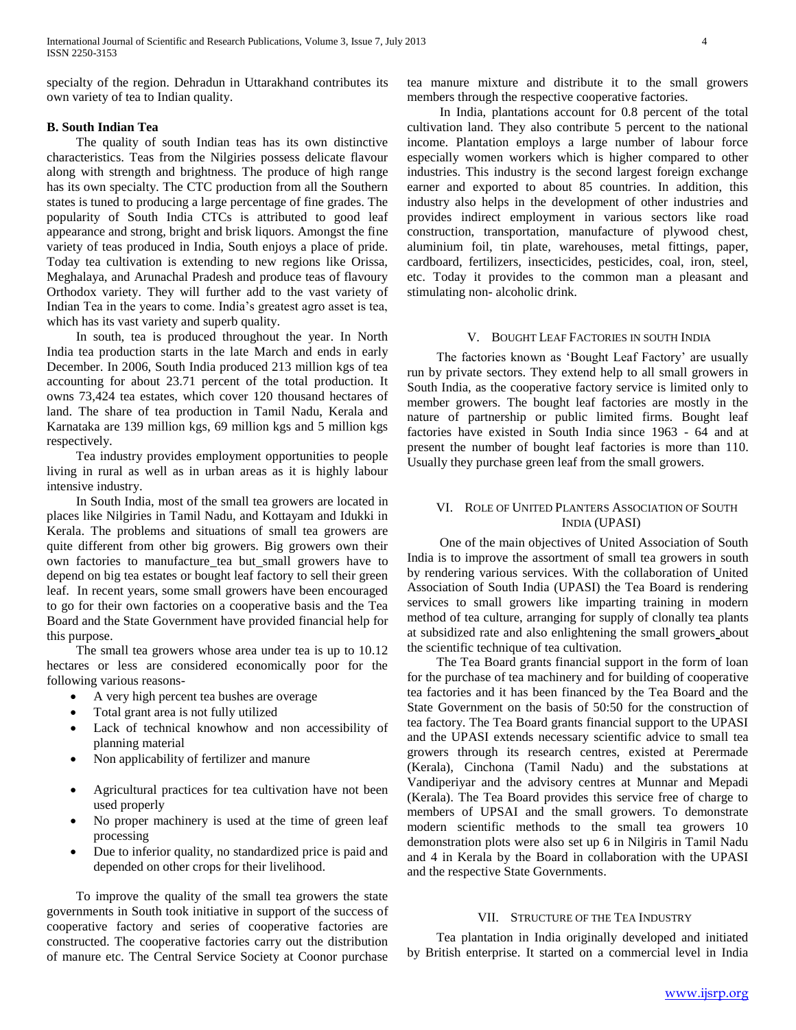specialty of the region. Dehradun in Uttarakhand contributes its own variety of tea to Indian quality.

# **B. South Indian Tea**

 The quality of south Indian teas has its own distinctive characteristics. Teas from the Nilgiries possess delicate flavour along with strength and brightness. The produce of high range has its own specialty. The CTC production from all the Southern states is tuned to producing a large percentage of fine grades. The popularity of South India CTCs is attributed to good leaf appearance and strong, bright and brisk liquors. Amongst the fine variety of teas produced in India, South enjoys a place of pride. Today tea cultivation is extending to new regions like Orissa, Meghalaya, and Arunachal Pradesh and produce teas of flavoury Orthodox variety. They will further add to the vast variety of Indian Tea in the years to come. India"s greatest agro asset is tea, which has its vast variety and superb quality.

 In south, tea is produced throughout the year. In North India tea production starts in the late March and ends in early December. In 2006, South India produced 213 million kgs of tea accounting for about 23.71 percent of the total production. It owns 73,424 tea estates, which cover 120 thousand hectares of land. The share of tea production in Tamil Nadu, Kerala and Karnataka are 139 million kgs, 69 million kgs and 5 million kgs respectively.

 Tea industry provides employment opportunities to people living in rural as well as in urban areas as it is highly labour intensive industry.

 In South India, most of the small tea growers are located in places like Nilgiries in Tamil Nadu, and Kottayam and Idukki in Kerala. The problems and situations of small tea growers are quite different from other big growers. Big growers own their own factories to manufacture tea but small growers have to depend on big tea estates or bought leaf factory to sell their green leaf. In recent years, some small growers have been encouraged to go for their own factories on a cooperative basis and the Tea Board and the State Government have provided financial help for this purpose.

 The small tea growers whose area under tea is up to 10.12 hectares or less are considered economically poor for the following various reasons-

- A very high percent tea bushes are overage
- Total grant area is not fully utilized
- Lack of technical knowhow and non accessibility of planning material
- Non applicability of fertilizer and manure
- Agricultural practices for tea cultivation have not been used properly
- No proper machinery is used at the time of green leaf processing
- Due to inferior quality, no standardized price is paid and depended on other crops for their livelihood.

 To improve the quality of the small tea growers the state governments in South took initiative in support of the success of cooperative factory and series of cooperative factories are constructed. The cooperative factories carry out the distribution of manure etc. The Central Service Society at Coonor purchase tea manure mixture and distribute it to the small growers members through the respective cooperative factories.

 In India, plantations account for 0.8 percent of the total cultivation land. They also contribute 5 percent to the national income. Plantation employs a large number of labour force especially women workers which is higher compared to other industries. This industry is the second largest foreign exchange earner and exported to about 85 countries. In addition, this industry also helps in the development of other industries and provides indirect employment in various sectors like road construction, transportation, manufacture of plywood chest, aluminium foil, tin plate, warehouses, metal fittings, paper, cardboard, fertilizers, insecticides, pesticides, coal, iron, steel, etc. Today it provides to the common man a pleasant and stimulating non- alcoholic drink.

## V. BOUGHT LEAF FACTORIES IN SOUTH INDIA

The factories known as 'Bought Leaf Factory' are usually run by private sectors. They extend help to all small growers in South India, as the cooperative factory service is limited only to member growers. The bought leaf factories are mostly in the nature of partnership or public limited firms. Bought leaf factories have existed in South India since 1963 - 64 and at present the number of bought leaf factories is more than 110. Usually they purchase green leaf from the small growers.

## VI. ROLE OF UNITED PLANTERS ASSOCIATION OF SOUTH INDIA (UPASI)

 One of the main objectives of United Association of South India is to improve the assortment of small tea growers in south by rendering various services. With the collaboration of United Association of South India (UPASI) the Tea Board is rendering services to small growers like imparting training in modern method of tea culture, arranging for supply of clonally tea plants at subsidized rate and also enlightening the small growers about the scientific technique of tea cultivation.

 The Tea Board grants financial support in the form of loan for the purchase of tea machinery and for building of cooperative tea factories and it has been financed by the Tea Board and the State Government on the basis of 50:50 for the construction of tea factory. The Tea Board grants financial support to the UPASI and the UPASI extends necessary scientific advice to small tea growers through its research centres, existed at Perermade (Kerala), Cinchona (Tamil Nadu) and the substations at Vandiperiyar and the advisory centres at Munnar and Mepadi (Kerala). The Tea Board provides this service free of charge to members of UPSAI and the small growers. To demonstrate modern scientific methods to the small tea growers 10 demonstration plots were also set up 6 in Nilgiris in Tamil Nadu and 4 in Kerala by the Board in collaboration with the UPASI and the respective State Governments.

## VII. STRUCTURE OF THE TEA INDUSTRY

 Tea plantation in India originally developed and initiated by British enterprise. It started on a commercial level in India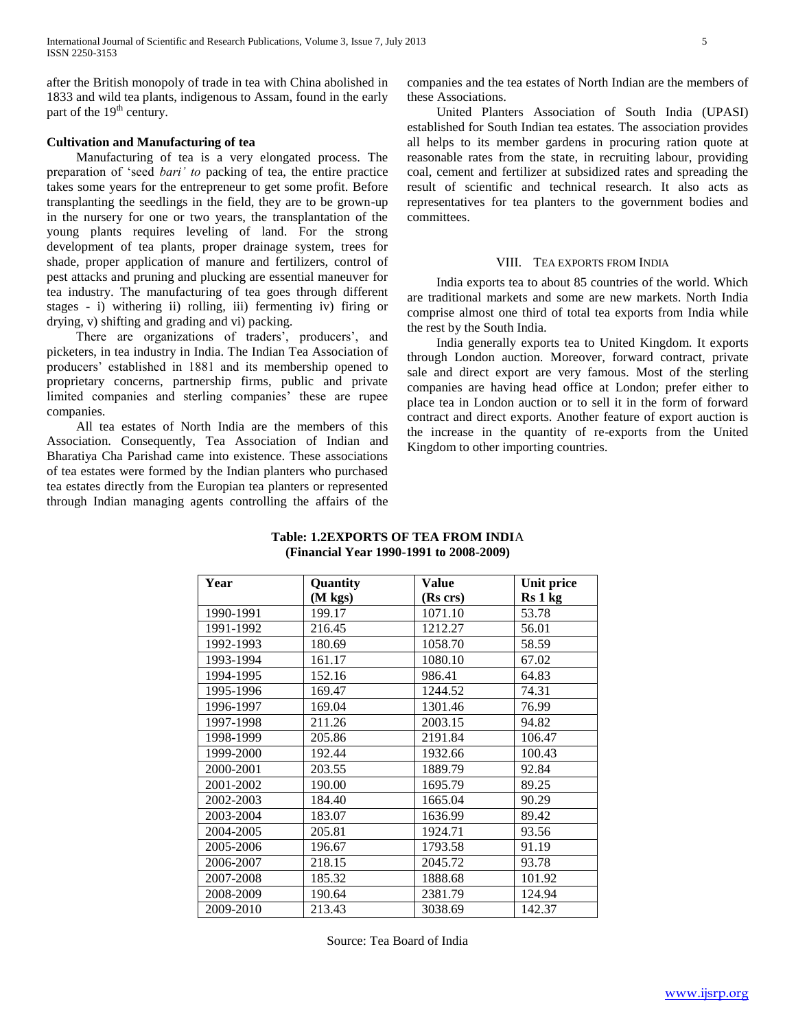after the British monopoly of trade in tea with China abolished in 1833 and wild tea plants, indigenous to Assam, found in the early part of the  $19<sup>th</sup>$  century.

# **Cultivation and Manufacturing of tea**

 Manufacturing of tea is a very elongated process. The preparation of "seed *bari' to* packing of tea, the entire practice takes some years for the entrepreneur to get some profit. Before transplanting the seedlings in the field, they are to be grown-up in the nursery for one or two years, the transplantation of the young plants requires leveling of land. For the strong development of tea plants, proper drainage system, trees for shade, proper application of manure and fertilizers, control of pest attacks and pruning and plucking are essential maneuver for tea industry. The manufacturing of tea goes through different stages - i) withering ii) rolling, iii) fermenting iv) firing or drying, v) shifting and grading and vi) packing.

There are organizations of traders', producers', and picketers, in tea industry in India. The Indian Tea Association of producers" established in 1881 and its membership opened to proprietary concerns, partnership firms, public and private limited companies and sterling companies' these are rupee companies.

 All tea estates of North India are the members of this Association. Consequently, Tea Association of Indian and Bharatiya Cha Parishad came into existence. These associations of tea estates were formed by the Indian planters who purchased tea estates directly from the Europian tea planters or represented through Indian managing agents controlling the affairs of the companies and the tea estates of North Indian are the members of these Associations.

 United Planters Association of South India (UPASI) established for South Indian tea estates. The association provides all helps to its member gardens in procuring ration quote at reasonable rates from the state, in recruiting labour, providing coal, cement and fertilizer at subsidized rates and spreading the result of scientific and technical research. It also acts as representatives for tea planters to the government bodies and committees.

#### VIII. TEA EXPORTS FROM INDIA

 India exports tea to about 85 countries of the world. Which are traditional markets and some are new markets. North India comprise almost one third of total tea exports from India while the rest by the South India.

 India generally exports tea to United Kingdom. It exports through London auction. Moreover*,* forward contract, private sale and direct export are very famous. Most of the sterling companies are having head office at London; prefer either to place tea in London auction or to sell it in the form of forward contract and direct exports. Another feature of export auction is the increase in the quantity of re-exports from the United Kingdom to other importing countries.

| Year      | Quantity | <b>Value</b> | Unit price |
|-----------|----------|--------------|------------|
|           | (M kgs)  | (Rs crs)     | Rs 1 kg    |
| 1990-1991 | 199.17   | 1071.10      | 53.78      |
| 1991-1992 | 216.45   | 1212.27      | 56.01      |
| 1992-1993 | 180.69   | 1058.70      | 58.59      |
| 1993-1994 | 161.17   | 1080.10      | 67.02      |
| 1994-1995 | 152.16   | 986.41       | 64.83      |
| 1995-1996 | 169.47   | 1244.52      | 74.31      |
| 1996-1997 | 169.04   | 1301.46      | 76.99      |
| 1997-1998 | 211.26   | 2003.15      | 94.82      |
| 1998-1999 | 205.86   | 2191.84      | 106.47     |
| 1999-2000 | 192.44   | 1932.66      | 100.43     |
| 2000-2001 | 203.55   | 1889.79      | 92.84      |
| 2001-2002 | 190.00   | 1695.79      | 89.25      |
| 2002-2003 | 184.40   | 1665.04      | 90.29      |
| 2003-2004 | 183.07   | 1636.99      | 89.42      |
| 2004-2005 | 205.81   | 1924.71      | 93.56      |
| 2005-2006 | 196.67   | 1793.58      | 91.19      |
| 2006-2007 | 218.15   | 2045.72      | 93.78      |
| 2007-2008 | 185.32   | 1888.68      | 101.92     |
| 2008-2009 | 190.64   | 2381.79      | 124.94     |
| 2009-2010 | 213.43   | 3038.69      | 142.37     |

# **Table: 1.2EXPORTS OF TEA FROM INDI**A **(Financial Year 1990-1991 to 2008-2009)**

Source: Tea Board of India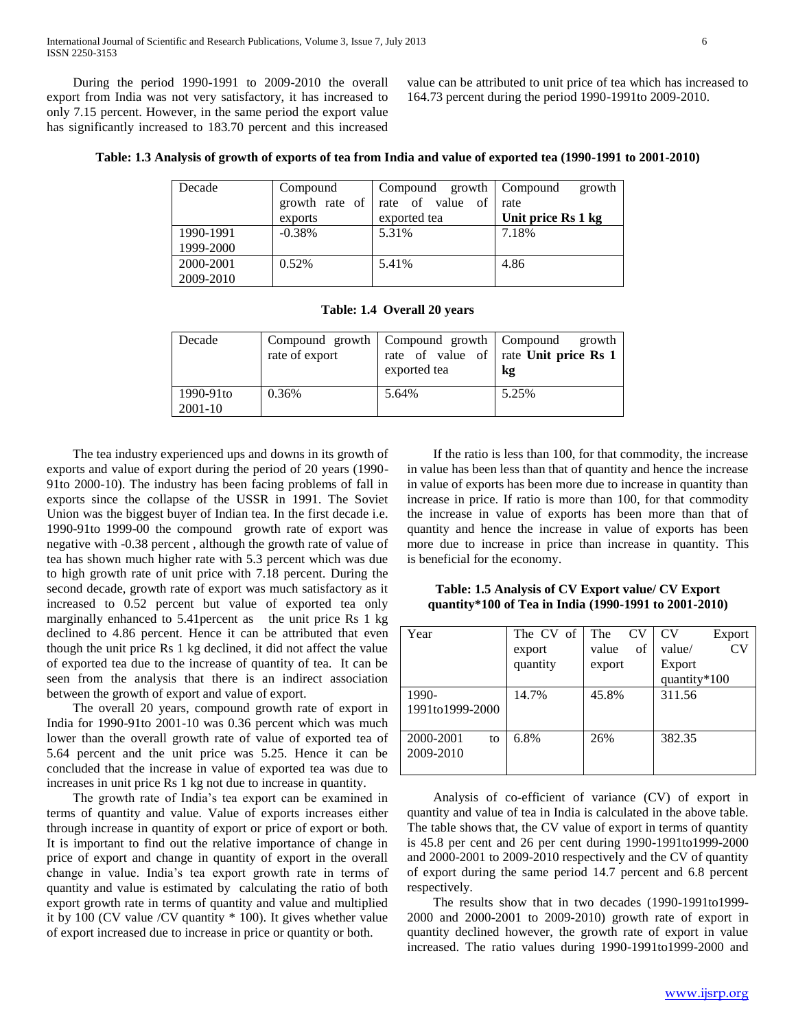During the period 1990-1991 to 2009-2010 the overall export from India was not very satisfactory, it has increased to only 7.15 percent. However, in the same period the export value has significantly increased to 183.70 percent and this increased

value can be attributed to unit price of tea which has increased to 164.73 percent during the period 1990-1991to 2009-2010.

| Decade    | Compound | Compound growth   Compound      | growth             |
|-----------|----------|---------------------------------|--------------------|
|           |          | growth rate of rate of value of | rate               |
|           | exports  | exported tea                    | Unit price Rs 1 kg |
| 1990-1991 | $-0.38%$ | 5.31%                           | 7.18%              |
| 1999-2000 |          |                                 |                    |
| 2000-2001 | 0.52%    | 5.41%                           | 4.86               |
| 2009-2010 |          |                                 |                    |

**Table: 1.4 Overall 20 years**

| Decade               | rate of export | Compound growth   Compound growth   Compound<br>exported tea | growth<br>rate of value of rate Unit price Rs 1<br>kg |
|----------------------|----------------|--------------------------------------------------------------|-------------------------------------------------------|
| 1990-91to<br>2001-10 | 0.36%          | 5.64%                                                        | 5.25%                                                 |

 The tea industry experienced ups and downs in its growth of exports and value of export during the period of 20 years (1990- 91to 2000-10). The industry has been facing problems of fall in exports since the collapse of the USSR in 1991. The Soviet Union was the biggest buyer of Indian tea. In the first decade i.e. 1990-91to 1999-00 the compound growth rate of export was negative with -0.38 percent , although the growth rate of value of tea has shown much higher rate with 5.3 percent which was due to high growth rate of unit price with 7.18 percent. During the second decade, growth rate of export was much satisfactory as it increased to 0.52 percent but value of exported tea only marginally enhanced to 5.41 percent as the unit price Rs 1 kg declined to 4.86 percent. Hence it can be attributed that even though the unit price Rs 1 kg declined, it did not affect the value of exported tea due to the increase of quantity of tea. It can be seen from the analysis that there is an indirect association between the growth of export and value of export.

 The overall 20 years, compound growth rate of export in India for 1990-91to 2001-10 was 0.36 percent which was much lower than the overall growth rate of value of exported tea of 5.64 percent and the unit price was 5.25. Hence it can be concluded that the increase in value of exported tea was due to increases in unit price Rs 1 kg not due to increase in quantity.

 The growth rate of India"s tea export can be examined in terms of quantity and value*.* Value of exports increases either through increase in quantity of export or price of export or both*.*  It is important to find out the relative importance of change in price of export and change in quantity of export in the overall change in value. India"s tea export growth rate in terms of quantity and value is estimated by calculating the ratio of both export growth rate in terms of quantity and value and multiplied it by 100 (CV value /CV quantity \* 100). It gives whether value of export increased due to increase in price or quantity or both.

 If the ratio is less than 100, for that commodity, the increase in value has been less than that of quantity and hence the increase in value of exports has been more due to increase in quantity than increase in price. If ratio is more than 100, for that commodity the increase in value of exports has been more than that of quantity and hence the increase in value of exports has been more due to increase in price than increase in quantity. This is beneficial for the economy.

**Table: 1.5 Analysis of CV Export value/ CV Export quantity\*100 of Tea in India (1990-1991 to 2001-2010)**

| Year            | The CV of | The<br><b>CV</b> | <b>CV</b><br>Export |
|-----------------|-----------|------------------|---------------------|
|                 | export    | of<br>value      | CV<br>value/        |
|                 | quantity  | export           | Export              |
|                 |           |                  | quantity*100        |
| 1990-           | 14.7%     | 45.8%            | 311.56              |
| 1991to1999-2000 |           |                  |                     |
|                 |           |                  |                     |
| 2000-2001<br>to | 6.8%      | 26%              | 382.35              |
| 2009-2010       |           |                  |                     |
|                 |           |                  |                     |

 Analysis of co-efficient of variance (CV) of export in quantity and value of tea in India is calculated in the above table. The table shows that, the CV value of export in terms of quantity is 45.8 per cent and 26 per cent during 1990-1991to1999-2000 and 2000-2001 to 2009-2010 respectively and the CV of quantity of export during the same period 14.7 percent and 6.8 percent respectively.

 The results show that in two decades (1990-1991to1999- 2000 and 2000-2001 to 2009-2010) growth rate of export in quantity declined however, the growth rate of export in value increased. The ratio values during 1990-1991to1999-2000 and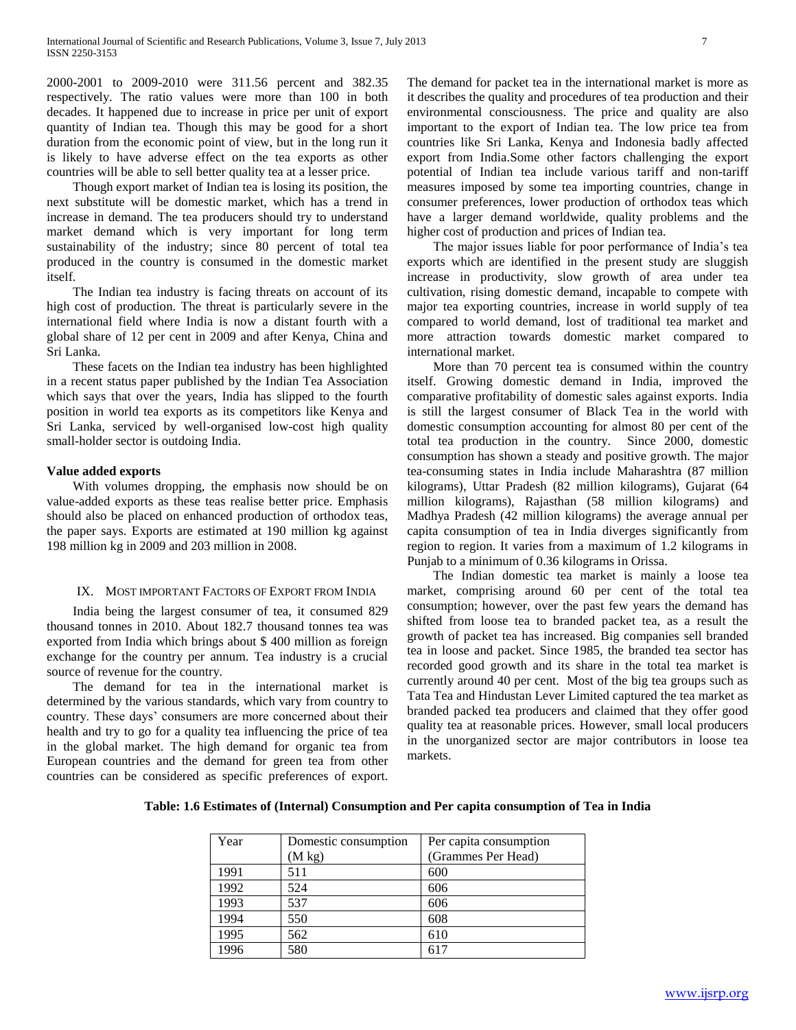2000-2001 to 2009-2010 were 311.56 percent and 382.35 respectively. The ratio values were more than 100 in both decades. It happened due to increase in price per unit of export quantity of Indian tea. Though this may be good for a short duration from the economic point of view, but in the long run it is likely to have adverse effect on the tea exports as other countries will be able to sell better quality tea at a lesser price.

 Though export market of Indian tea is losing its position, the next substitute will be domestic market, which has a trend in increase in demand. The tea producers should try to understand market demand which is very important for long term sustainability of the industry; since 80 percent of total tea produced in the country is consumed in the domestic market itself.

 The Indian tea industry is facing threats on account of its high cost of production. The threat is particularly severe in the international field where India is now a distant fourth with a global share of 12 per cent in 2009 and after Kenya, China and Sri Lanka.

 These facets on the Indian tea industry has been highlighted in a recent status paper published by the Indian Tea Association which says that over the years, India has slipped to the fourth position in world tea exports as its competitors like Kenya and Sri Lanka, serviced by well-organised low-cost high quality small-holder sector is outdoing India.

## **Value added exports**

 With volumes dropping, the emphasis now should be on value-added exports as these teas realise better price. Emphasis should also be placed on enhanced production of orthodox teas, the paper says. Exports are estimated at 190 million kg against 198 million kg in 2009 and 203 million in 2008.

### IX. MOST IMPORTANT FACTORS OF EXPORT FROM INDIA

 India being the largest consumer of tea, it consumed 829 thousand tonnes in 2010. About 182.7 thousand tonnes tea was exported from India which brings about \$ 400 million as foreign exchange for the country per annum. Tea industry is a crucial source of revenue for the country.

 The demand for tea in the international market is determined by the various standards, which vary from country to country. These days" consumers are more concerned about their health and try to go for a quality tea influencing the price of tea in the global market. The high demand for organic tea from European countries and the demand for green tea from other countries can be considered as specific preferences of export.

The demand for packet tea in the international market is more as it describes the quality and procedures of tea production and their environmental consciousness. The price and quality are also important to the export of Indian tea. The low price tea from countries like Sri Lanka, Kenya and Indonesia badly affected export from India.Some other factors challenging the export potential of Indian tea include various tariff and non-tariff measures imposed by some tea importing countries, change in consumer preferences, lower production of orthodox teas which have a larger demand worldwide, quality problems and the higher cost of production and prices of Indian tea.

 The major issues liable for poor performance of India"s tea exports which are identified in the present study are sluggish increase in productivity, slow growth of area under tea cultivation, rising domestic demand, incapable to compete with major tea exporting countries, increase in world supply of tea compared to world demand, lost of traditional tea market and more attraction towards domestic market compared to international market.

 More than 70 percent tea is consumed within the country itself. Growing domestic demand in India, improved the comparative profitability of domestic sales against exports. India is still the largest consumer of Black Tea in the world with domestic consumption accounting for almost 80 per cent of the total tea production in the country. Since 2000, domestic consumption has shown a steady and positive growth. The major tea-consuming states in India include Maharashtra (87 million kilograms), Uttar Pradesh (82 million kilograms), Gujarat (64 million kilograms), Rajasthan (58 million kilograms) and Madhya Pradesh (42 million kilograms) the average annual per capita consumption of tea in India diverges significantly from region to region. It varies from a maximum of 1.2 kilograms in Punjab to a minimum of 0.36 kilograms in Orissa.

 The Indian domestic tea market is mainly a loose tea market, comprising around 60 per cent of the total tea consumption; however, over the past few years the demand has shifted from loose tea to branded packet tea, as a result the growth of packet tea has increased. Big companies sell branded tea in loose and packet. Since 1985, the branded tea sector has recorded good growth and its share in the total tea market is currently around 40 per cent. Most of the big tea groups such as Tata Tea and Hindustan Lever Limited captured the tea market as branded packed tea producers and claimed that they offer good quality tea at reasonable prices. However, small local producers in the unorganized sector are major contributors in loose tea markets.

| Year | Domestic consumption | Per capita consumption |
|------|----------------------|------------------------|
|      | $(M \text{ kg})$     | (Grammes Per Head)     |
| 1991 | 511                  | 600                    |
| 1992 | 524                  | 606                    |
| 1993 | 537                  | 606                    |
| 1994 | 550                  | 608                    |
| 1995 | 562                  | 610                    |
| 1996 | 580                  | 617                    |

**Table: 1.6 Estimates of (Internal) Consumption and Per capita consumption of Tea in India**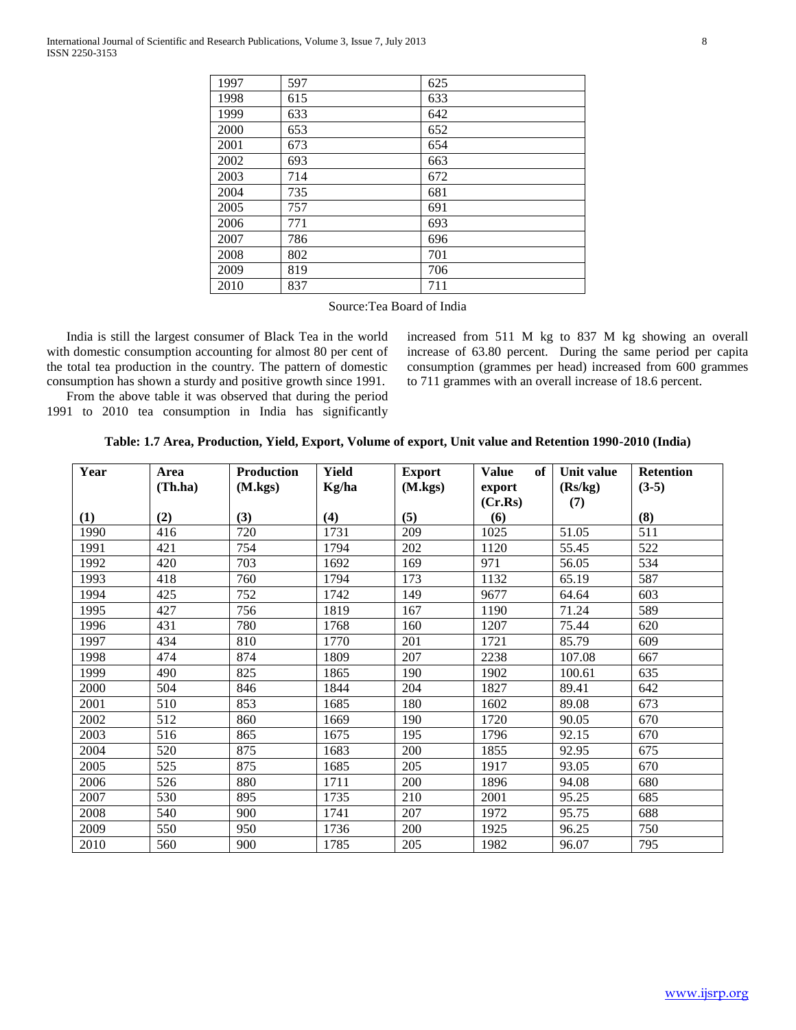| 1997 | 597 | 625 |
|------|-----|-----|
| 1998 | 615 | 633 |
| 1999 | 633 | 642 |
| 2000 | 653 | 652 |
| 2001 | 673 | 654 |
| 2002 | 693 | 663 |
| 2003 | 714 | 672 |
| 2004 | 735 | 681 |
| 2005 | 757 | 691 |
| 2006 | 771 | 693 |
| 2007 | 786 | 696 |
| 2008 | 802 | 701 |
| 2009 | 819 | 706 |
| 2010 | 837 | 711 |

Source:Tea Board of India

 India is still the largest consumer of Black Tea in the world with domestic consumption accounting for almost 80 per cent of the total tea production in the country. The pattern of domestic consumption has shown a sturdy and positive growth since 1991.

 From the above table it was observed that during the period 1991 to 2010 tea consumption in India has significantly increased from 511 M kg to 837 M kg showing an overall increase of 63.80 percent. During the same period per capita consumption (grammes per head) increased from 600 grammes to 711 grammes with an overall increase of 18.6 percent.

| Table: 1.7 Area, Production, Yield, Export, Volume of export, Unit value and Retention 1990-2010 (India) |  |  |  |  |  |  |  |  |
|----------------------------------------------------------------------------------------------------------|--|--|--|--|--|--|--|--|
|----------------------------------------------------------------------------------------------------------|--|--|--|--|--|--|--|--|

| Year | Area<br>(Th.ha) | <b>Production</b><br>(M.kgs) | <b>Yield</b><br>Kg/ha | <b>Export</b><br>(M.kgs) | <b>Value</b><br>of<br>export | Unit value<br>(Rs/kg) | <b>Retention</b><br>$(3-5)$ |
|------|-----------------|------------------------------|-----------------------|--------------------------|------------------------------|-----------------------|-----------------------------|
|      |                 |                              |                       |                          | (Cr.Rs)                      | (7)                   |                             |
| (1)  | (2)             | (3)                          | (4)                   | (5)                      | (6)                          |                       | (8)                         |
| 1990 | 416             | 720                          | 1731                  | 209                      | 1025                         | 51.05                 | 511                         |
| 1991 | 421             | 754                          | 1794                  | 202                      | 1120                         | 55.45                 | 522                         |
| 1992 | 420             | 703                          | 1692                  | 169                      | 971                          | 56.05                 | 534                         |
| 1993 | 418             | 760                          | 1794                  | 173                      | 1132                         | 65.19                 | 587                         |
| 1994 | 425             | 752                          | 1742                  | 149                      | 9677                         | 64.64                 | 603                         |
| 1995 | 427             | 756                          | 1819                  | 167                      | 1190                         | 71.24                 | 589                         |
| 1996 | 431             | 780                          | 1768                  | 160                      | 1207                         | 75.44                 | 620                         |
| 1997 | 434             | 810                          | 1770                  | 201                      | 1721                         | 85.79                 | 609                         |
| 1998 | 474             | 874                          | 1809                  | 207                      | 2238                         | 107.08                | 667                         |
| 1999 | 490             | 825                          | 1865                  | 190                      | 1902                         | 100.61                | 635                         |
| 2000 | 504             | 846                          | 1844                  | 204                      | 1827                         | 89.41                 | 642                         |
| 2001 | 510             | 853                          | 1685                  | 180                      | 1602                         | 89.08                 | 673                         |
| 2002 | 512             | 860                          | 1669                  | 190                      | 1720                         | 90.05                 | 670                         |
| 2003 | 516             | 865                          | 1675                  | 195                      | 1796                         | 92.15                 | 670                         |
| 2004 | 520             | 875                          | 1683                  | 200                      | 1855                         | 92.95                 | 675                         |
| 2005 | 525             | 875                          | 1685                  | 205                      | 1917                         | 93.05                 | 670                         |
| 2006 | 526             | 880                          | 1711                  | 200                      | 1896                         | 94.08                 | 680                         |
| 2007 | 530             | 895                          | 1735                  | 210                      | 2001                         | 95.25                 | 685                         |
| 2008 | 540             | 900                          | 1741                  | 207                      | 1972                         | 95.75                 | 688                         |
| 2009 | 550             | 950                          | 1736                  | 200                      | 1925                         | 96.25                 | 750                         |
| 2010 | 560             | 900                          | 1785                  | 205                      | 1982                         | 96.07                 | 795                         |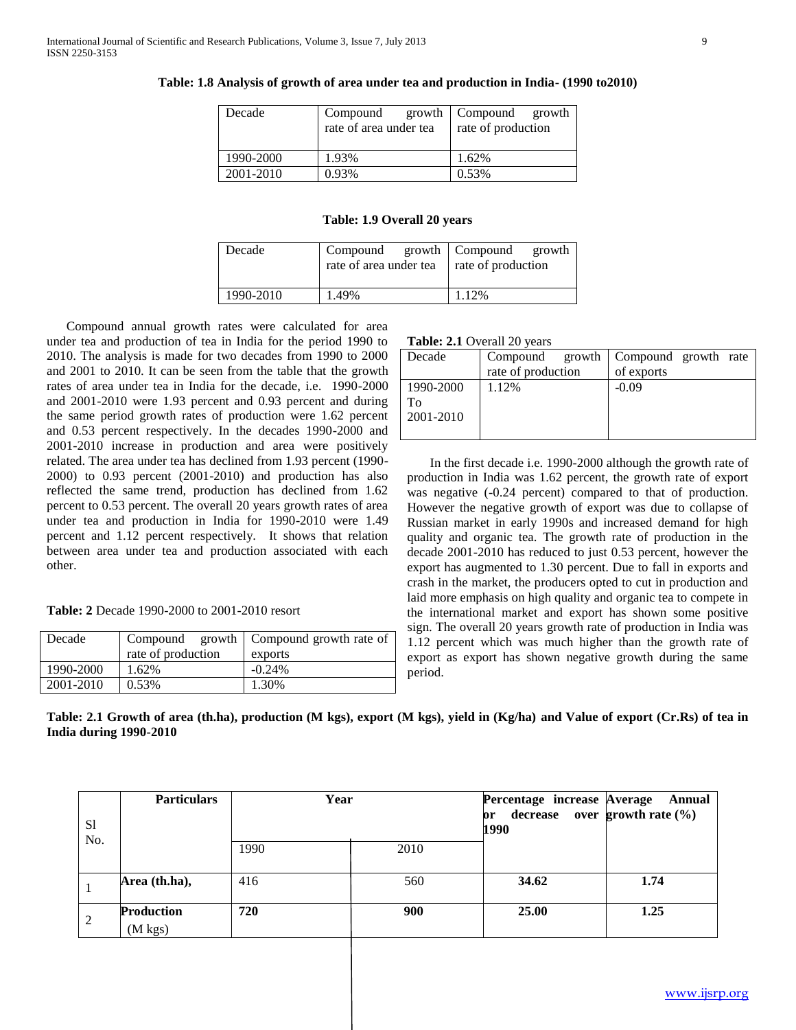| Decade    | Compound               | growth Compound growth |  |
|-----------|------------------------|------------------------|--|
|           | rate of area under tea | rate of production     |  |
|           |                        |                        |  |
| 1990-2000 | 1.93%                  | 1.62%                  |  |
| 2001-2010 | 0.93%                  | 0.53%                  |  |

#### **Table: 1.8 Analysis of growth of area under tea and production in India- (1990 to2010)**

# **Table: 1.9 Overall 20 years**

| Decade    | Compound growth Compound growth<br>rate of area under tea | rate of production |
|-----------|-----------------------------------------------------------|--------------------|
| 1990-2010 | 1.49%                                                     | 1.12%              |

 Compound annual growth rates were calculated for area under tea and production of tea in India for the period 1990 to 2010. The analysis is made for two decades from 1990 to 2000 and 2001 to 2010. It can be seen from the table that the growth rates of area under tea in India for the decade, i.e. 1990-2000 and 2001-2010 were 1.93 percent and 0.93 percent and during the same period growth rates of production were 1.62 percent and 0.53 percent respectively. In the decades 1990-2000 and 2001-2010 increase in production and area were positively related. The area under tea has declined from 1.93 percent (1990- 2000) to 0.93 percent (2001-2010) and production has also reflected the same trend, production has declined from 1.62 percent to 0.53 percent. The overall 20 years growth rates of area under tea and production in India for 1990-2010 were 1.49 percent and 1.12 percent respectively. It shows that relation between area under tea and production associated with each other.

**Table: 2** Decade 1990-2000 to 2001-2010 resort

| Decade    |                    | Compound growth   Compound growth rate of |  |
|-----------|--------------------|-------------------------------------------|--|
|           | rate of production | exports                                   |  |
| 1990-2000 | 1.62%              | $-0.24\%$                                 |  |
| 2001-2010 | 0.53%              | 1.30%                                     |  |

**Table: 2.1** Overall 20 years

| Decade    |                    | Compound growth Compound growth rate |
|-----------|--------------------|--------------------------------------|
|           | rate of production | of exports                           |
| 1990-2000 | 1.12%              | $-0.09$                              |
| Tο        |                    |                                      |
| 2001-2010 |                    |                                      |
|           |                    |                                      |

 In the first decade i.e. 1990-2000 although the growth rate of production in India was 1.62 percent, the growth rate of export was negative (-0.24 percent) compared to that of production. However the negative growth of export was due to collapse of Russian market in early 1990s and increased demand for high quality and organic tea. The growth rate of production in the decade 2001-2010 has reduced to just 0.53 percent, however the export has augmented to 1.30 percent. Due to fall in exports and crash in the market, the producers opted to cut in production and laid more emphasis on high quality and organic tea to compete in the international market and export has shown some positive sign. The overall 20 years growth rate of production in India was 1.12 percent which was much higher than the growth rate of export as export has shown negative growth during the same period.

**Table: 2.1 Growth of area (th.ha), production (M kgs), export (M kgs), yield in (Kg/ha) and Value of export (Cr.Rs) of tea in India during 1990-2010**

| S <sub>1</sub> | <b>Particulars</b>                     | Year |      | Percentage increase Average<br>or<br>1990 | Annual<br>decrease over growth rate $(\% )$ |
|----------------|----------------------------------------|------|------|-------------------------------------------|---------------------------------------------|
| No.            |                                        | 1990 | 2010 |                                           |                                             |
|                | Area (th.ha),                          | 416  | 560  | 34.62                                     | 1.74                                        |
| 2              | <b>Production</b><br>$(M \text{ kgs})$ | 720  | 900  | 25.00                                     | 1.25                                        |